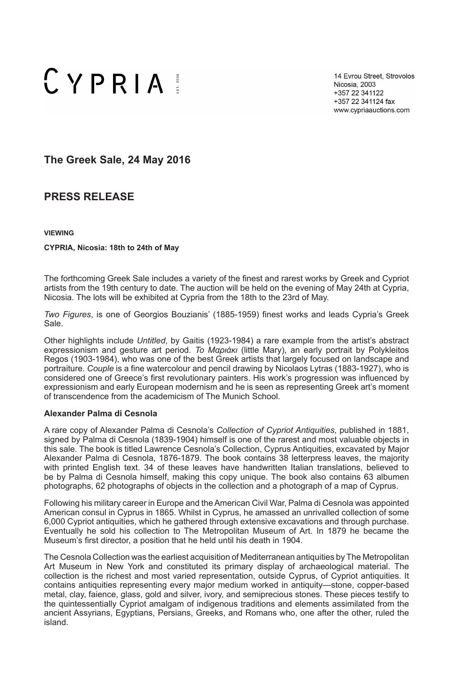# $CYPRIA$

14 Evrou Street, Strovolos Nicosia, 2003 +357 22 341122 +357 22 341124 fax www.cypriaauctions.com

**The Greek Sale, 24 May 2016**

# **PRESS RELEASE**

**VIEWING**

#### **CYPRIA, Nicosia: 18th to 24th of May**

The forthcoming Greek Sale includes a variety of the finest and rarest works by Greek and Cypriot artists from the 19th century to date. The auction will be held on the evening of May 24th at Cypria, Nicosia. The lots will be exhibited at Cypria from the 18th to the 23rd of May.

*Two Figures*, is one of Georgios Bouzianis' (1885-1959) finest works and leads Cypria's Greek Sale.

Other highlights include *Untitled*, by Gaitis (1923-1984) a rare example from the artist's abstract expressionism and gesture art period. *Το Μαριάκι* (little Mary), an early portrait by Polykleitos Regos (1903-1984), who was one of the best Greek artists that largely focused on landscape and portraiture. *Couple* is a fine watercolour and pencil drawing by Nicolaos Lytras (1883-1927), who is considered one of Greece's first revolutionary painters. His work's progression was influenced by expressionism and early European modernism and he is seen as representing Greek art's moment of transcendence from the academicism of The Munich School.

# **Alexander Palma di Cesnola**

A rare copy of Alexander Palma di Cesnola's *Collection of Cypriot Antiquities*, published in 1881, signed by Palma di Cesnola (1839-1904) himself is one of the rarest and most valuable objects in this sale. The book is titled Lawrence Cesnola's Collection, Cyprus Antiquities, excavated by Major Alexander Palma di Cesnola, 1876-1879. The book contains 38 letterpress leaves, the majority with printed English text. 34 of these leaves have handwritten Italian translations, believed to be by Palma di Cesnola himself, making this copy unique. The book also contains 63 albumen photographs, 62 photographs of objects in the collection and a photograph of a map of Cyprus.

Following his military career in Europe and the American Civil War, Palma di Cesnola was appointed American consul in Cyprus in 1865. Whilst in Cyprus, he amassed an unrivalled collection of some 6,000 Cypriot antiquities, which he gathered through extensive excavations and through purchase. Eventually he sold his collection to The Metropolitan Museum of Art. In 1879 he became the Museum's first director, a position that he held until his death in 1904.

The Cesnola Collection was the earliest acquisition of Mediterranean antiquities by The Metropolitan Art Museum in New York and constituted its primary display of archaeological material. The collection is the richest and most varied representation, outside Cyprus, of Cypriot antiquities. It contains antiquities representing every major medium worked in antiquity—stone, copper-based metal, clay, faience, glass, gold and silver, ivory, and semiprecious stones. These pieces testify to the quintessentially Cypriot amalgam of indigenous traditions and elements assimilated from the ancient Assyrians, Egyptians, Persians, Greeks, and Romans who, one after the other, ruled the island.